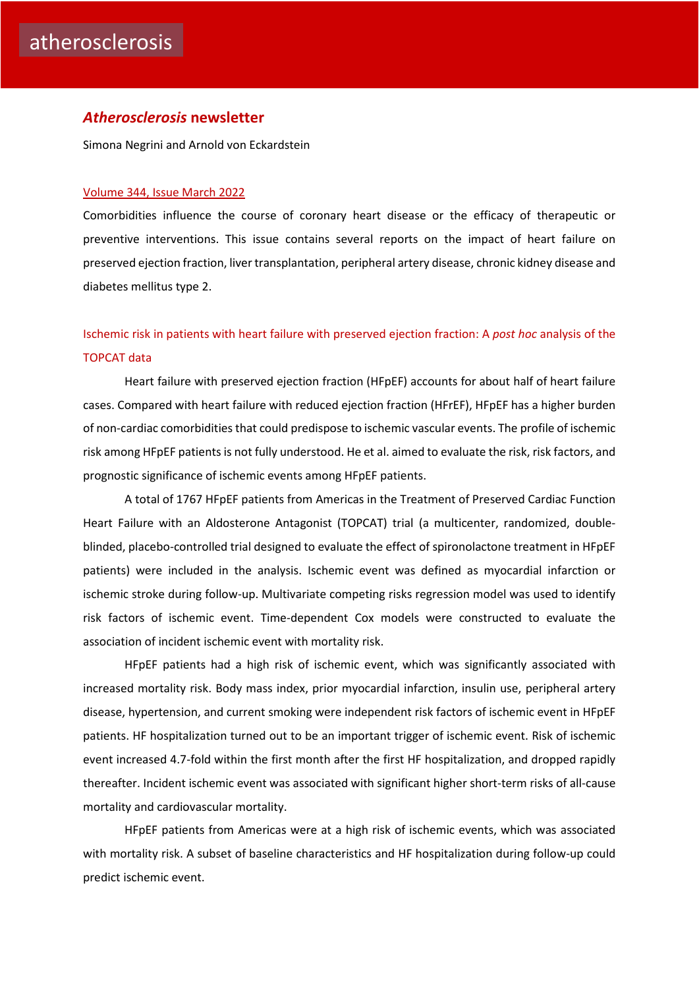### *Atherosclerosis* **newsletter**

Simona Negrini and Arnold von Eckardstein

### [Volume 344, Issue March](https://www.atherosclerosis-journal.com/issue/S0021-9150(22)X0003-8) 2022

Comorbidities influence the course of coronary heart disease or the efficacy of therapeutic or preventive interventions. This issue contains several reports on the impact of heart failure on preserved ejection fraction, liver transplantation, peripheral artery disease, chronic kidney disease and diabetes mellitus type 2.

# [Ischemic risk in patients with heart failure with preserved ejection fraction: A](https://click.notification.elsevier.com/CL0/https:%2F%2Fwww.atherosclerosis-journal.com%2Farticle%2FS0021-9150(22)00027-2%2Ffulltext%3Fdgcid=raven_jbs_etoc_email/1/0100017f2988f69f-3f828c70-6d03-4b2b-b564-2e8a57827b7c-000000/-0Z6lsBp8SMe0Om-fV051q8k6Eap-hJ9BsZdkirJED4=238) *post hoc* analysis of the [TOPCAT data](https://click.notification.elsevier.com/CL0/https:%2F%2Fwww.atherosclerosis-journal.com%2Farticle%2FS0021-9150(22)00027-2%2Ffulltext%3Fdgcid=raven_jbs_etoc_email/1/0100017f2988f69f-3f828c70-6d03-4b2b-b564-2e8a57827b7c-000000/-0Z6lsBp8SMe0Om-fV051q8k6Eap-hJ9BsZdkirJED4=238)

Heart failure with preserved ejection fraction (HFpEF) accounts for about half of heart failure cases. Compared with heart failure with reduced ejection fraction (HFrEF), HFpEF has a higher burden of non-cardiac comorbidities that could predispose to ischemic vascular events. The profile of ischemic risk among HFpEF patients is not fully understood. He et al. aimed to evaluate the risk, risk factors, and prognostic significance of ischemic events among HFpEF patients.

A total of 1767 HFpEF patients from Americas in the Treatment of Preserved Cardiac Function Heart Failure with an Aldosterone Antagonist (TOPCAT) trial (a multicenter, randomized, doubleblinded, placebo-controlled trial designed to evaluate the effect of spironolactone treatment in HFpEF patients) were included in the analysis. Ischemic event was defined as myocardial infarction or ischemic stroke during follow-up. Multivariate competing risks regression model was used to identify risk factors of ischemic event. Time-dependent Cox models were constructed to evaluate the association of incident ischemic event with mortality risk.

HFpEF patients had a high risk of ischemic event, which was significantly associated with increased mortality risk. Body mass index, prior myocardial infarction, insulin use, peripheral artery disease, hypertension, and current smoking were independent risk factors of ischemic event in HFpEF patients. HF hospitalization turned out to be an important trigger of ischemic event. Risk of ischemic event increased 4.7-fold within the first month after the first HF hospitalization, and dropped rapidly thereafter. Incident ischemic event was associated with significant higher short-term risks of all-cause mortality and cardiovascular mortality.

HFpEF patients from Americas were at a high risk of ischemic events, which was associated with mortality risk. A subset of baseline characteristics and HF hospitalization during follow-up could predict ischemic event.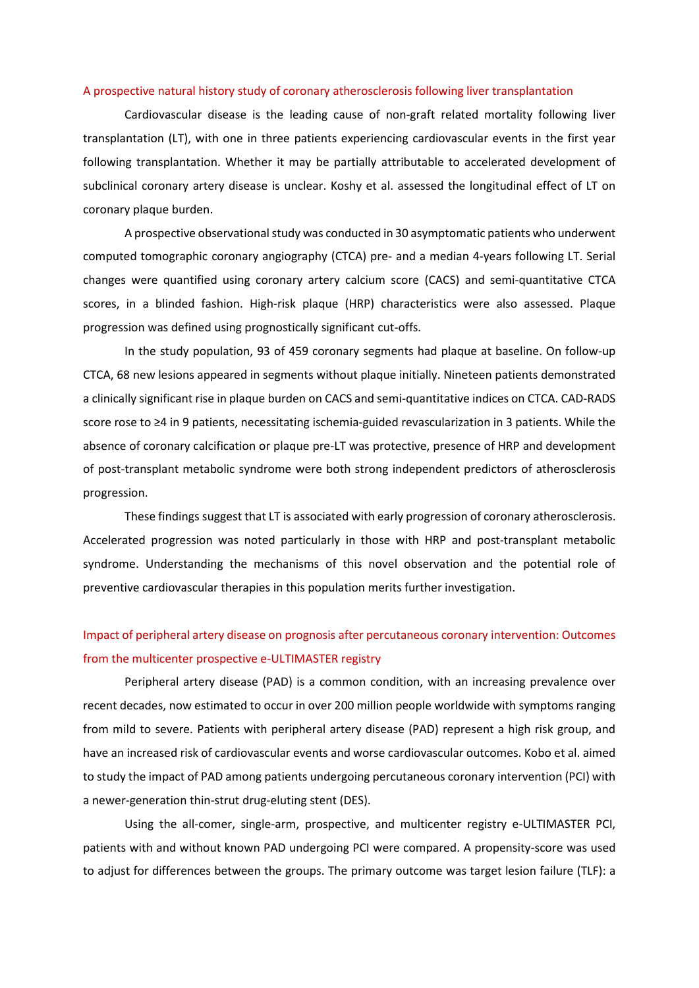#### [A prospective natural history study of coronary atherosclerosis following liver transplantation](https://click.notification.elsevier.com/CL0/https:%2F%2Fwww.atherosclerosis-journal.com%2Farticle%2FS0021-9150(22)00052-1%2Ffulltext%3Fdgcid=raven_jbs_etoc_email/1/0100017f2988f69f-3f828c70-6d03-4b2b-b564-2e8a57827b7c-000000/K9zjJ_ZRGE53srbxAQ7D8iBuWrbUNzYTqCL4GdDewEw=238)

Cardiovascular disease is the leading cause of non-graft related mortality following liver transplantation (LT), with one in three patients experiencing cardiovascular events in the first year following transplantation. Whether it may be partially attributable to accelerated development of subclinical coronary artery disease is unclear. Koshy et al. assessed the longitudinal effect of LT on coronary plaque burden.

A prospective observational study was conducted in 30 asymptomatic patients who underwent computed tomographic coronary angiography (CTCA) pre- and a median 4-years following LT. Serial changes were quantified using coronary artery calcium score (CACS) and semi-quantitative CTCA scores, in a blinded fashion. High-risk plaque (HRP) characteristics were also assessed. Plaque progression was defined using prognostically significant cut-offs.

In the study population, 93 of 459 coronary segments had plaque at baseline. On follow-up CTCA, 68 new lesions appeared in segments without plaque initially. Nineteen patients demonstrated a clinically significant rise in plaque burden on CACS and semi-quantitative indices on CTCA. CAD-RADS score rose to ≥4 in 9 patients, necessitating ischemia-guided revascularization in 3 patients. While the absence of coronary calcification or plaque pre-LT was protective, presence of HRP and development of post-transplant metabolic syndrome were both strong independent predictors of atherosclerosis progression.

These findings suggest that LT is associated with early progression of coronary atherosclerosis. Accelerated progression was noted particularly in those with HRP and post-transplant metabolic syndrome. Understanding the mechanisms of this novel observation and the potential role of preventive cardiovascular therapies in this population merits further investigation.

## [Impact of peripheral artery disease on prognosis after percutaneous coronary intervention: Outcomes](https://click.notification.elsevier.com/CL0/https:%2F%2Fwww.atherosclerosis-journal.com%2Farticle%2FS0021-9150(22)00021-1%2Ffulltext%3Fdgcid=raven_jbs_etoc_email/1/0100017f2988f69f-3f828c70-6d03-4b2b-b564-2e8a57827b7c-000000/nZCvA2SkiWpgV4jB0pTtPct33yMDMa9M1w_Zk6C6OcI=238)  [from the multicenter prospective e-ULTIMASTER registry](https://click.notification.elsevier.com/CL0/https:%2F%2Fwww.atherosclerosis-journal.com%2Farticle%2FS0021-9150(22)00021-1%2Ffulltext%3Fdgcid=raven_jbs_etoc_email/1/0100017f2988f69f-3f828c70-6d03-4b2b-b564-2e8a57827b7c-000000/nZCvA2SkiWpgV4jB0pTtPct33yMDMa9M1w_Zk6C6OcI=238)

Peripheral artery disease (PAD) is a common condition, with an increasing prevalence over recent decades, now estimated to occur in over 200 million people worldwide with symptoms ranging from mild to severe. Patients with peripheral artery disease (PAD) represent a high risk group, and have an increased risk of cardiovascular events and worse cardiovascular outcomes. Kobo et al. aimed to study the impact of PAD among patients undergoing percutaneous coronary intervention (PCI) with a newer-generation thin-strut drug-eluting stent (DES).

Using the all-comer, single-arm, prospective, and multicenter registry e-ULTIMASTER PCI, patients with and without known PAD undergoing PCI were compared. A propensity-score was used to adjust for differences between the groups. The primary outcome was target lesion failure (TLF): a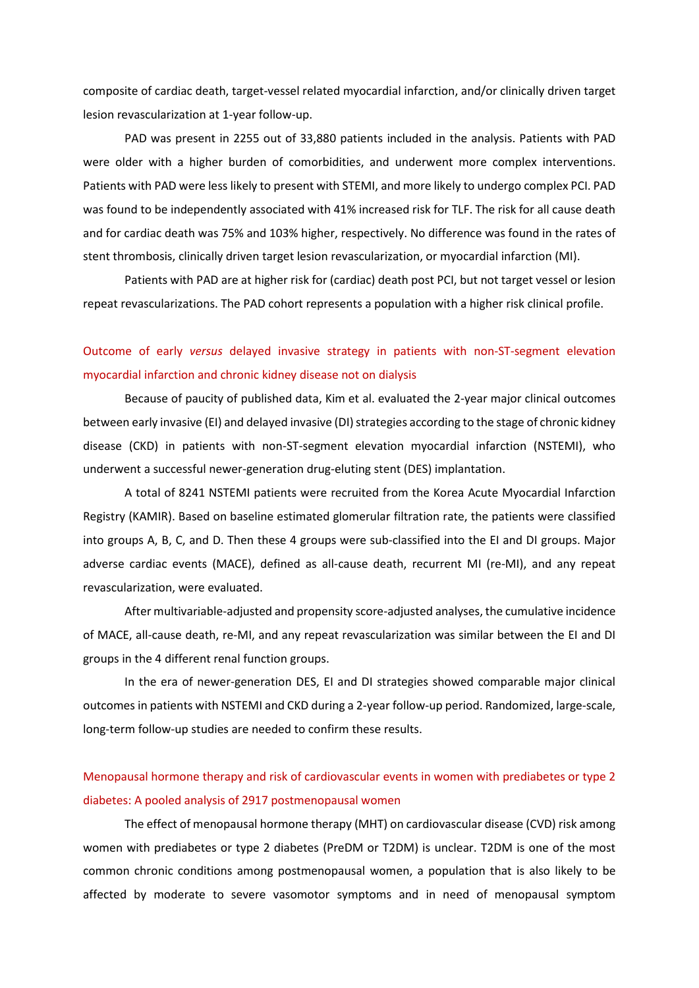composite of cardiac death, target-vessel related myocardial infarction, and/or clinically driven target lesion revascularization at 1-year follow-up.

PAD was present in 2255 out of 33,880 patients included in the analysis. Patients with PAD were older with a higher burden of comorbidities, and underwent more complex interventions. Patients with PAD were less likely to present with STEMI, and more likely to undergo complex PCI. PAD was found to be independently associated with 41% increased risk for TLF. The risk for all cause death and for cardiac death was 75% and 103% higher, respectively. No difference was found in the rates of stent thrombosis, clinically driven target lesion revascularization, or myocardial infarction (MI).

Patients with PAD are at higher risk for (cardiac) death post PCI, but not target vessel or lesion repeat revascularizations. The PAD cohort represents a population with a higher risk clinical profile.

## Outcome of early *versus* [delayed invasive strategy in patients with non-ST-segment elevation](https://click.notification.elsevier.com/CL0/https:%2F%2Fwww.atherosclerosis-journal.com%2Farticle%2FS0021-9150(21)01463-5%2Ffulltext%3Fdgcid=raven_jbs_etoc_email/1/0100017f2988f69f-3f828c70-6d03-4b2b-b564-2e8a57827b7c-000000/DbR0002-lONJOftNkZ-DQGl8yXxudatibQAckhTn9PA=238)  [myocardial infarction and chronic kidney disease not on dialysis](https://click.notification.elsevier.com/CL0/https:%2F%2Fwww.atherosclerosis-journal.com%2Farticle%2FS0021-9150(21)01463-5%2Ffulltext%3Fdgcid=raven_jbs_etoc_email/1/0100017f2988f69f-3f828c70-6d03-4b2b-b564-2e8a57827b7c-000000/DbR0002-lONJOftNkZ-DQGl8yXxudatibQAckhTn9PA=238)

Because of paucity of published data, Kim et al. evaluated the 2-year major clinical outcomes between early invasive (EI) and delayed invasive (DI) strategies according to the stage of chronic kidney disease (CKD) in patients with non-ST-segment elevation myocardial infarction (NSTEMI), who underwent a successful newer-generation drug-eluting stent (DES) implantation.

A total of 8241 NSTEMI patients were recruited from the Korea Acute Myocardial Infarction Registry (KAMIR). Based on baseline estimated glomerular filtration rate, the patients were classified into groups A, B, C, and D. Then these 4 groups were sub-classified into the EI and DI groups. Major adverse cardiac events (MACE), defined as all-cause death, recurrent MI (re-MI), and any repeat revascularization, were evaluated.

After multivariable-adjusted and propensity score-adjusted analyses, the cumulative incidence of MACE, all-cause death, re-MI, and any repeat revascularization was similar between the EI and DI groups in the 4 different renal function groups.

In the era of newer-generation DES, EI and DI strategies showed comparable major clinical outcomes in patients with NSTEMI and CKD during a 2-year follow-up period. Randomized, large-scale, long-term follow-up studies are needed to confirm these results.

### [Menopausal hormone therapy and risk of cardiovascular events in women with prediabetes or type 2](https://click.notification.elsevier.com/CL0/https:%2F%2Fwww.atherosclerosis-journal.com%2Farticle%2FS0021-9150(22)00030-2%2Ffulltext%3Fdgcid=raven_jbs_etoc_email/1/0100017f2988f69f-3f828c70-6d03-4b2b-b564-2e8a57827b7c-000000/d7mmRjbx5vW_J0kpNwSFZh1PYx99ymrBAH3el7DfcF0=238)  [diabetes: A pooled analysis of 2917 postmenopausal women](https://click.notification.elsevier.com/CL0/https:%2F%2Fwww.atherosclerosis-journal.com%2Farticle%2FS0021-9150(22)00030-2%2Ffulltext%3Fdgcid=raven_jbs_etoc_email/1/0100017f2988f69f-3f828c70-6d03-4b2b-b564-2e8a57827b7c-000000/d7mmRjbx5vW_J0kpNwSFZh1PYx99ymrBAH3el7DfcF0=238)

The effect of menopausal hormone therapy (MHT) on cardiovascular disease (CVD) risk among women with prediabetes or type 2 diabetes (PreDM or T2DM) is unclear. T2DM is one of the most common chronic conditions among postmenopausal women, a population that is also likely to be affected by moderate to severe vasomotor symptoms and in need of menopausal symptom